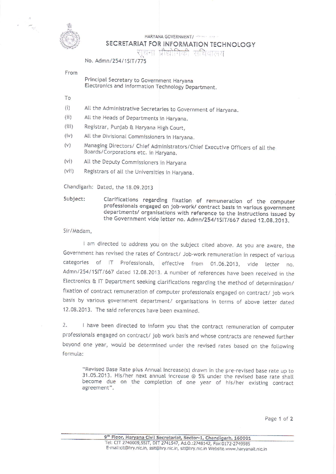

HARYANA GOVERNMENT/ (1999) 1999

## SECRETARIAT FOR INFORMATION TECHNOLOGY

प्रौद्योगिकी सचिवालय

No. Admn/254/15(T/775)

From

Principal. Secretary to Government Haryana Electronics and InForrnation Technotogy Department.

गाउँ स

- To
- (i) Alt the Administrative Secretaries to Government of Haryana.
- (ii) All the Heads of Departments in Haryana.
- (iii) Registrar, Punjab & Haryana Hjgh Courr,
- (iv) Att the Divisional Commissioners jn Haryana.
- (v) Managing Directors/ Chief Administrators/Chief Executive Officers of all the Boards/Corporations etc. in Haryana,
- (vi) All the Deputy Commissioners in Haryana
- (vii) Registrars of all the Universities in Haryana.

Chandigarh: Dated, the 18.09.2013

Subject: Clarifications regarding fixation of remuneration of the computer<br>professionals engaged on job-work/ contract basis in various government<br>departments/ organisations with reference to the Instructions issued by the Government vide letter no. Admn/254/1SIT/667 dated 12.08.2013.

## 5ir/Madam,

I am directed to address you on the subject cited above. As you are aware, the Government has revised the rates of Contract/ Job-work remuneration in respect of various categories of IT Professionals, effective from 01.06.2013, vide letter no. Admn/254/1SIT/667 dated 12.08.2013. A number of references have been received in the Electronics & IT Department seeking clarifications regarding the method of determination/ fixation of contract remuneration of computer professionals engaged on contract/ job work basis by various government department/ organisations in terms of above letter dated 12.08.2013. The said references have been examined.

2. I have been directed to inform you that the contract remuneration of computer professionats engaged on contract/ job work basis and whose contracts are renewed further beyond one year, would be determined under the revised rates based on the following forrnula:

"Revised Base Rate plus Annual Increase(s) drawn in the pre-revised base rate up to 31.05.2013. His/her next annuat increase @ 5% under the revised base rate shalt become due on the completion of one year of his/her existing contract agreement",

Page 1 of 2